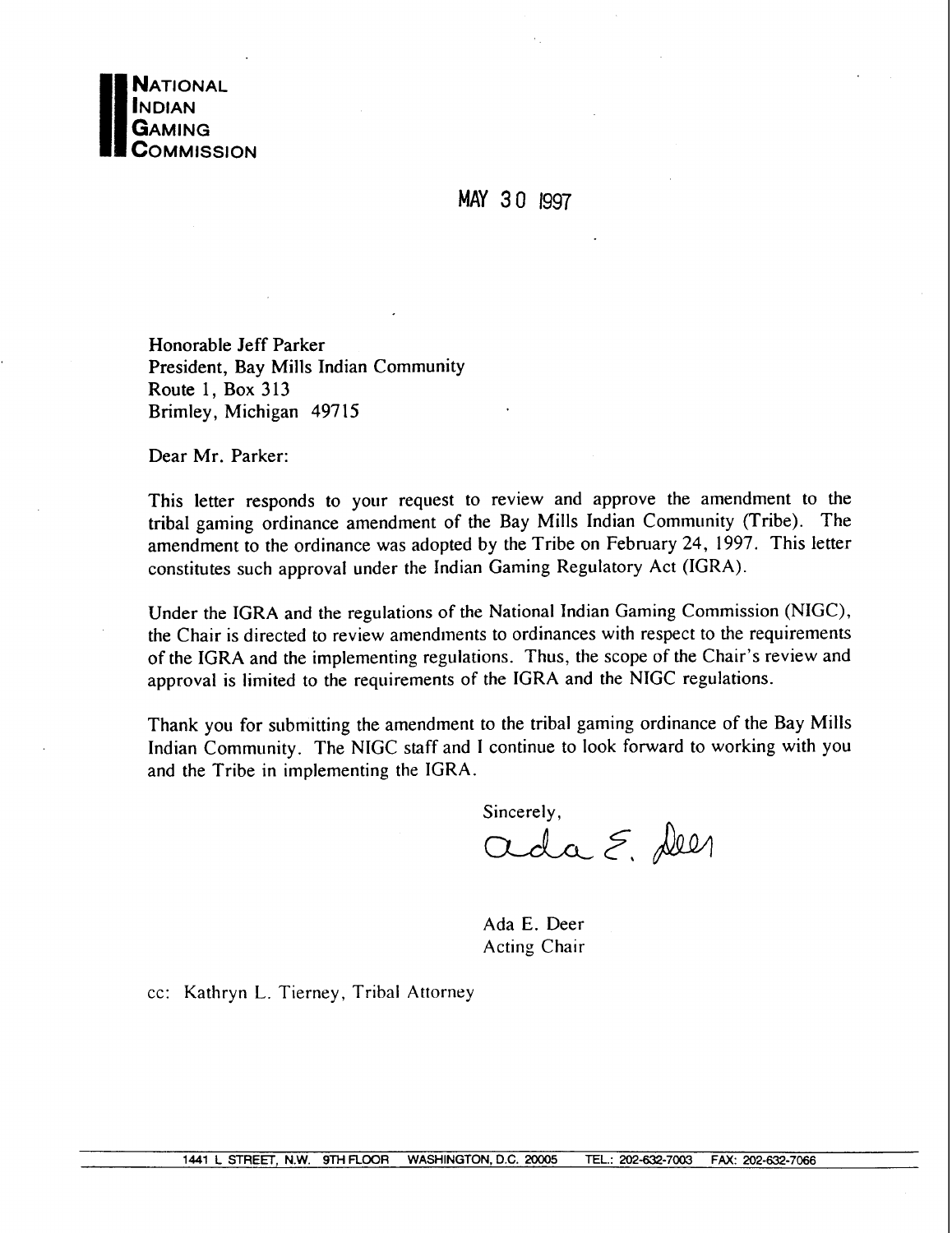

**MAY 3** 0 1997

Honorable Jeff Parker President, Bay Mills Indian Community Route 1, Box 313 Brimley, Michigan 497 15

Dear Mr. Parker:

This letter responds to your request to review and approve the amendment to the tribal gaming ordinance amendment of the Bay Mills Indian Community (Tribe). The amendment to the ordinance was adopted by the Tribe on February 24, 1997. This letter constitutes such approval under the Indian Gaming Regulatory Act (IGRA).

Under the IGRA and the regulations of the National Indian Gaming Commission (NIGC), the Chair is directed to review amendments to ordinances with respect to the requirements of the IGRA and the implementing regulations. Thus, the scope of the Chair's review and approval is limited to the requirements of the IGRA and the NIGC regulations.

Thank you for submitting the amendment to the tribal gaming ordinance of the Bay Mills Indian Community. The NIGC staff and I continue to look forward to working with you and the Tribe in implementing the IGRA.

Sincerely,<br>and  $\xi$ , deen

Ada E. Deer Acting Chair

cc: Kathryn L. Tierney, Tribal Attorney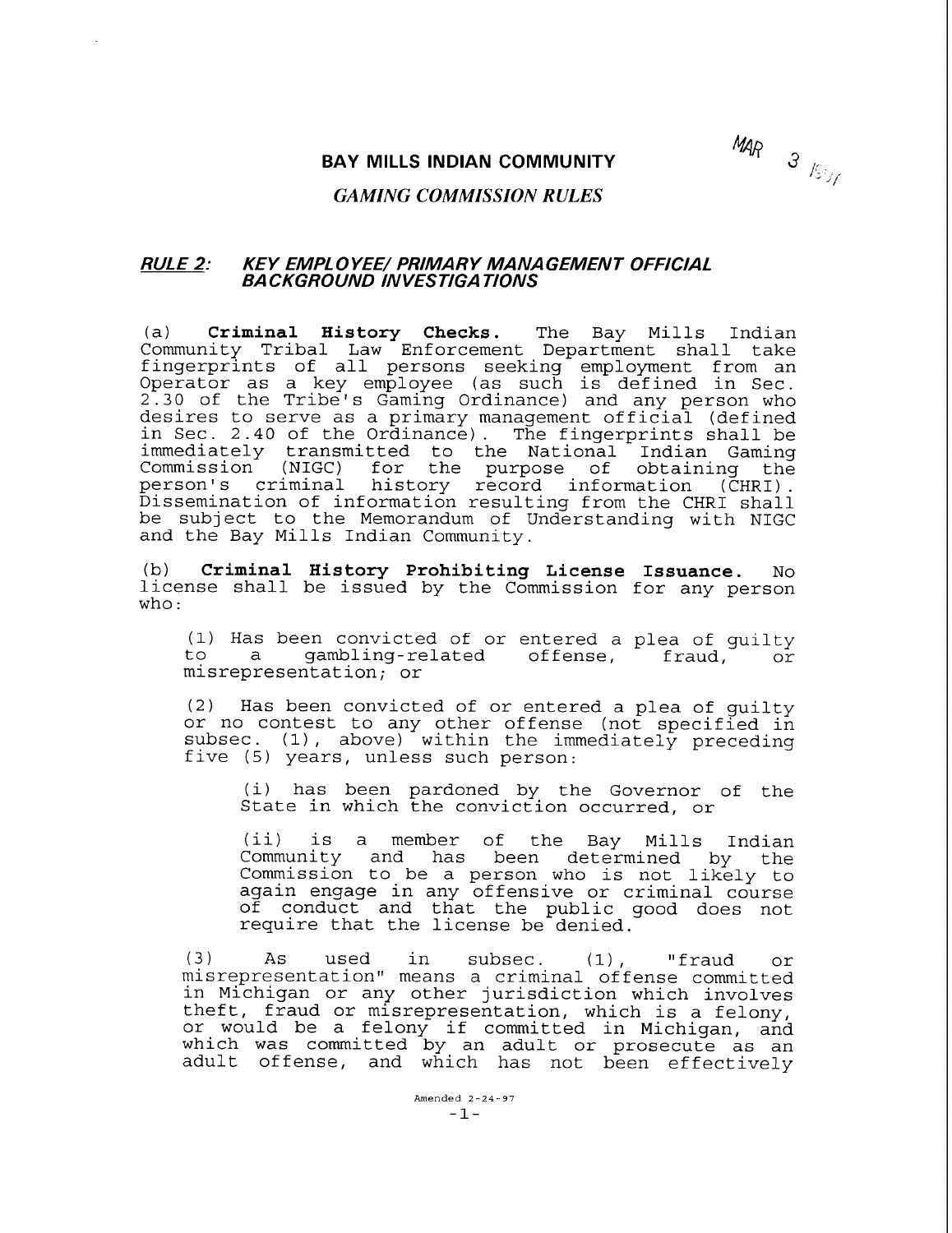MAR  $\frac{3}{\sqrt{2}}$ 

### **BAY MILLS INDIAN COMMUNITY**

# *GAMING COMMISSION RULES*

# **RULE 2: KEY EMPL 0 YEE/ PRIMARY MANA GEMENT OFFICIAL BA CKGROUND IN VESTIGA TIONS**

(a) **Criminal History Checks.** The Bay Mills Indian Community Tribal Law Enforcement Department shall take fingerprints of all persons seeking employment from an Operator as a key employee (as such is defined in Sec. 2.30 of the Tribe's Gaming Ordinance) and any person who desires to serve as a primary management official (defined in Sec. 2.40 of the Ordinance). The fingerprints shall be immediately transmitted to the National Indian Gaming Commission (NIGC) for the purpose of obtaining the<br>person's criminal history record information (CHRI).<br>Dissemination of information-resulting-from-the-CHRI-shall be subject to the Memorandum of Understanding with NIGC and the Bay Mills Indian Community.

(b) **Criminal History Prohibiting License Issuance.** No license shall be issued by the Commission for any person who :

(1) Has been convicted of or entered a plea of guilty gambling-related offense, misrepresentation; or

(2) Has been convicted of or entered a plea of guilty or no contest to any other offense (not specified in subsec. (1), above) within the immediately preceding five (5) years, unless such person:

(i) has been pardoned by the Governor of the State in which the conviction occurred, or

(ii) is a member of the Bay Mills Indian Community and has been determined by the Commission to be a person who is not likely to again engage in any offensive or criminal course of conduct and that the public good does not require that the license be denied.

(3) As used in subsec. (1) , "fraud or misrepresentation" means a criminal offense committed in Michigan or any other jurisdiction which involves theft, fraud or misrepresentation, which is a felony, or would be a felony if committed in Michigan, and which was committed by an adult or prosecute as an adult offense, and which has not been effectively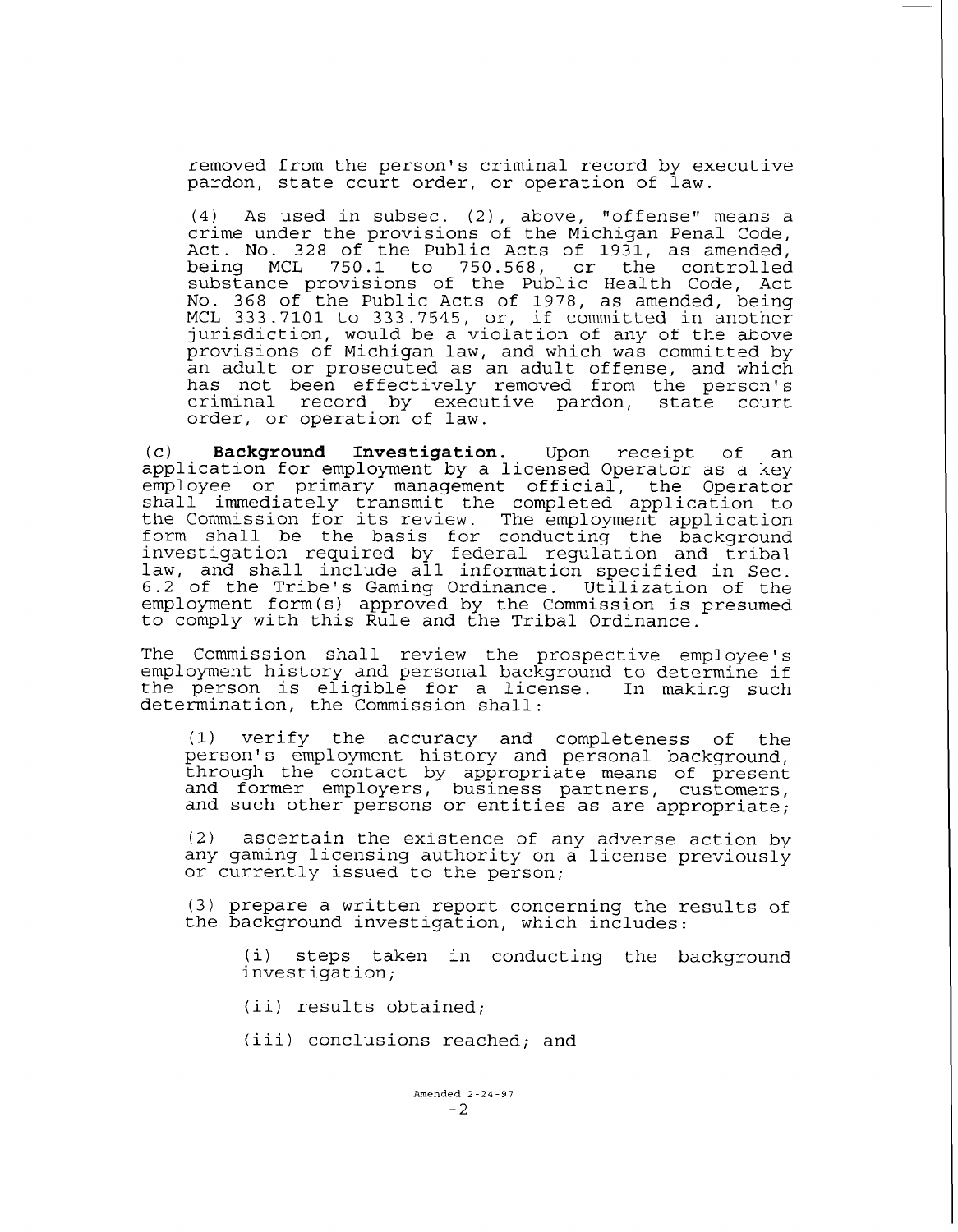removed from the person's criminal record by executive pardon, state court order, or operation of law.

(4) As used in subsec. (2) , above, "offense" means a crime under the provisions of the Michigan Penal Code, Act. No. 328 of the Public Acts of 1931, as amended,<br>being MCL 750.1 to 750.568, or the controlled 750.568, or the controlled substance provisions of the Public Health Code, Act No. 368 of the Public Acts of 1978, as amended, being MCL 333.7101 to 333.7545, or, if committed in another jurisdiction, would be a violation of any of the above provisions of Michigan law, and which was committed by an adult or prosecuted as an adult offense, and which has not been effectively removed from the person's criminal record by executive pardon, state court order, or operation of law.

(c) **Background Investigation.** Upon receipt of an application for employment by a licensed Operator as a key employee or primary management official, the Operator shall immediately transmit the completed application to the Commission for its review. The employment application form shall be the basis for conducting the background investigation required by federal regulation and tribal law, and shall include all information specified in Sec. 6.2 of the Tribe's Gaming Ordinance. Utilization of the employment form (s) approved by the Commission is presumed to comply with this Rule and the Tribal Ordinance.

The Commission shall review the prospective employee's employment history and personal background to determine if<br>the person is eligible for a license. In making such the person is eligible for a license. determination, the Commission shall:

(1) verify the accuracy and completeness of the person's employment history and personal background, through the contact by appropriate means of present and former employers, business partners, customers, and such other persons or entities as are appropriate;

(2) ascertain the existence of any adverse action by any gaming licensing authority on a license previously or currently issued to the person;

(3) prepare a written report concerning the results of the background investigation, which includes:

(i) steps taken in conducting the background investigation;

(ii) results obtained;

(iii) conclusions reached; and